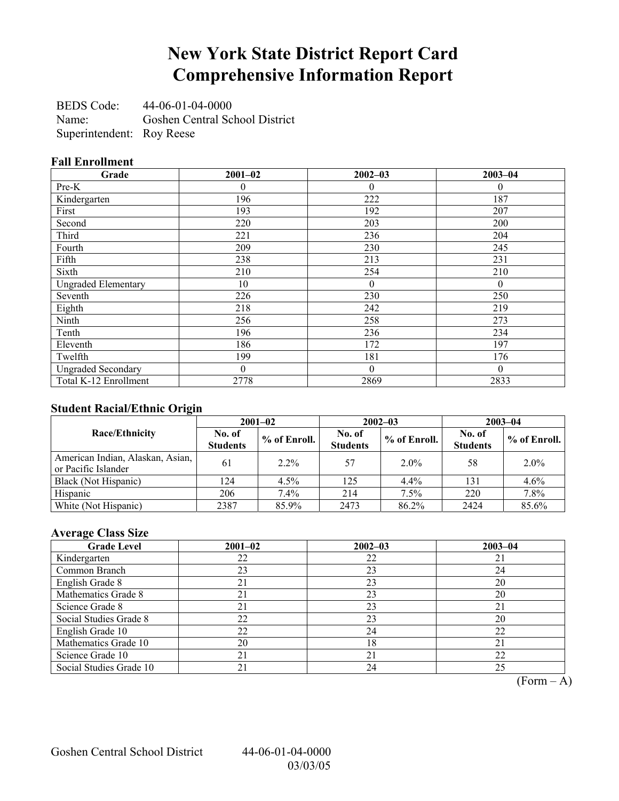# **New York State District Report Card Comprehensive Information Report**

BEDS Code: 44-06-01-04-0000 Name: Goshen Central School District Superintendent: Roy Reese

### **Fall Enrollment**

| Grade                      | $2001 - 02$ | $2002 - 03$  | $2003 - 04$ |
|----------------------------|-------------|--------------|-------------|
| Pre-K                      | 0           | $\theta$     | $\theta$    |
| Kindergarten               | 196         | 222          | 187         |
| First                      | 193         | 192          | 207         |
| Second                     | 220         | 203          | 200         |
| Third                      | 221         | 236          | 204         |
| Fourth                     | 209         | 230          | 245         |
| Fifth                      | 238         | 213          | 231         |
| Sixth                      | 210         | 254          | 210         |
| <b>Ungraded Elementary</b> | 10          | $\theta$     | $\theta$    |
| Seventh                    | 226         | 230          | 250         |
| Eighth                     | 218         | 242          | 219         |
| Ninth                      | 256         | 258          | 273         |
| Tenth                      | 196         | 236          | 234         |
| Eleventh                   | 186         | 172          | 197         |
| Twelfth                    | 199         | 181          | 176         |
| <b>Ungraded Secondary</b>  | $\Omega$    | $\mathbf{0}$ | $\theta$    |
| Total K-12 Enrollment      | 2778        | 2869         | 2833        |

### **Student Racial/Ethnic Origin**

|                                                         | $2001 - 02$               |              |                           | $2002 - 03$  | $2003 - 04$               |              |
|---------------------------------------------------------|---------------------------|--------------|---------------------------|--------------|---------------------------|--------------|
| <b>Race/Ethnicity</b>                                   | No. of<br><b>Students</b> | % of Enroll. | No. of<br><b>Students</b> | % of Enroll. | No. of<br><b>Students</b> | % of Enroll. |
| American Indian, Alaskan, Asian,<br>or Pacific Islander | 61                        | $2.2\%$      | 57                        | $2.0\%$      | 58                        | $2.0\%$      |
| Black (Not Hispanic)                                    | 124                       | $4.5\%$      | 125                       | $4.4\%$      | 131                       | 4.6%         |
| Hispanic                                                | 206                       | 7.4%         | 214                       | 7.5%         | 220                       | 7.8%         |
| White (Not Hispanic)                                    | 2387                      | 85.9%        | 2473                      | 86.2%        | 2424                      | 85.6%        |

## **Average Class Size**

| <b>Grade Level</b>      | $2001 - 02$ | $2002 - 03$ | $2003 - 04$ |
|-------------------------|-------------|-------------|-------------|
| Kindergarten            | 22          | 22          |             |
| Common Branch           | 23          | 23          | 24          |
| English Grade 8         | 21          | 23          | 20          |
| Mathematics Grade 8     | 21          | 23          | 20          |
| Science Grade 8         | 21          | 23          | 21          |
| Social Studies Grade 8  | 22          | 23          | 20          |
| English Grade 10        | 22          | 24          | 22          |
| Mathematics Grade 10    | 20          | 18          | 21          |
| Science Grade 10        | 21          | 21          | 22          |
| Social Studies Grade 10 | 21          | 24          | 25          |

 $\overline{(Form - A)}$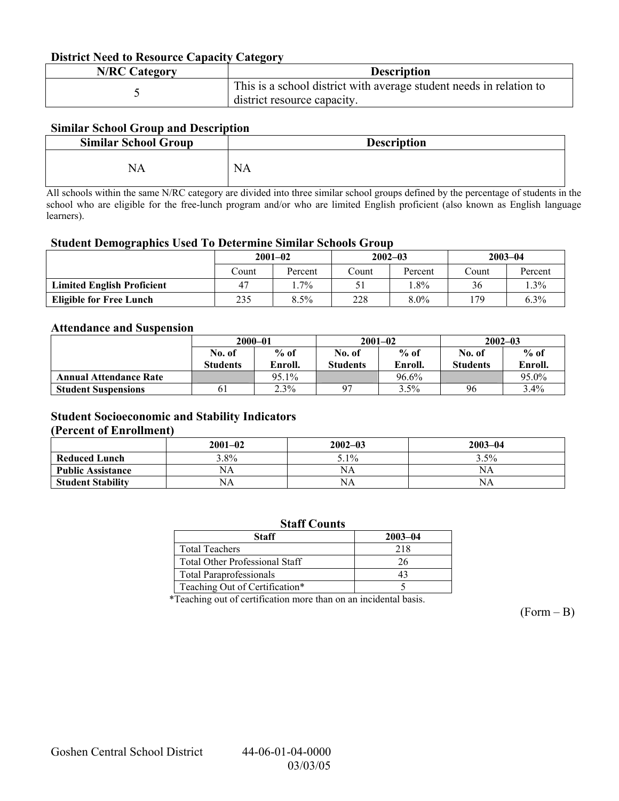#### **District Need to Resource Capacity Category**

| <b>N/RC Category</b> | <b>Description</b>                                                                                 |
|----------------------|----------------------------------------------------------------------------------------------------|
|                      | This is a school district with average student needs in relation to<br>district resource capacity. |

### **Similar School Group and Description**

| <b>Similar School Group</b> | <b>Description</b> |
|-----------------------------|--------------------|
| NA                          | <b>NA</b>          |

All schools within the same N/RC category are divided into three similar school groups defined by the percentage of students in the school who are eligible for the free-lunch program and/or who are limited English proficient (also known as English language learners).

#### **Student Demographics Used To Determine Similar Schools Group**

| $\epsilon$                        | $2001 - 02$ |         |       | $2002 - 03$ |       | $2003 - 04$ |  |
|-----------------------------------|-------------|---------|-------|-------------|-------|-------------|--|
|                                   | Count       | Percent | Count | Percent     | Count | Percent     |  |
| <b>Limited English Proficient</b> | 47          | $.7\%$  |       | $.8\%$      | 36    | $1.3\%$     |  |
| <b>Eligible for Free Lunch</b>    | 235         | 8.5%    | 228   | $8.0\%$     | 179   | $6.3\%$     |  |

#### **Attendance and Suspension**

|                               | $2000 - 01$     |         |                 | $2001 - 02$ | $2002 - 03$     |         |
|-------------------------------|-----------------|---------|-----------------|-------------|-----------------|---------|
|                               | No. of          | $%$ of  | No. of          | $%$ of      | No. of          | $%$ of  |
|                               | <b>Students</b> | Enroll. | <b>Students</b> | Enroll.     | <b>Students</b> | Enroll. |
| <b>Annual Attendance Rate</b> |                 | 95.1%   |                 | 96.6%       |                 | 95.0%   |
| <b>Student Suspensions</b>    | 61              | 2.3%    |                 | 3.5%        | 96              | $3.4\%$ |

### **Student Socioeconomic and Stability Indicators**

#### **(Percent of Enrollment)**

|                          | $2001 - 02$ | $2002 - 03$ | $2003 - 04$ |
|--------------------------|-------------|-------------|-------------|
| <b>Reduced Lunch</b>     | $3.8\%$     | 5.1%        | 3.5%        |
| <b>Public Assistance</b> | NΑ          | NA          | NA          |
| <b>Student Stability</b> | NΑ          | NA          | NΑ          |

| <b>Staff Counts</b>                   |             |  |  |  |  |
|---------------------------------------|-------------|--|--|--|--|
| <b>Staff</b>                          | $2003 - 04$ |  |  |  |  |
| <b>Total Teachers</b>                 | 218         |  |  |  |  |
| <b>Total Other Professional Staff</b> | 26          |  |  |  |  |
| <b>Total Paraprofessionals</b>        | 43          |  |  |  |  |
| Teaching Out of Certification*        |             |  |  |  |  |

\*Teaching out of certification more than on an incidental basis.

 $(Form - B)$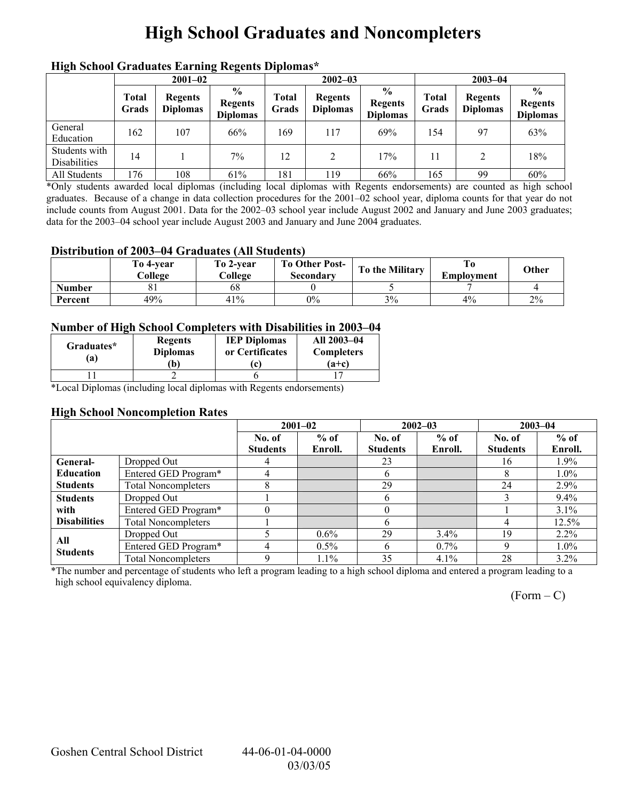# **High School Graduates and Noncompleters**

| mgn benoor Grauuates Larming regents Diplomas |                       |                                   |                                                    |                       |                                   |                                                    |                |                                   |                                                    |  |
|-----------------------------------------------|-----------------------|-----------------------------------|----------------------------------------------------|-----------------------|-----------------------------------|----------------------------------------------------|----------------|-----------------------------------|----------------------------------------------------|--|
|                                               | $2001 - 02$           |                                   |                                                    |                       | $2002 - 03$                       |                                                    |                | $2003 - 04$                       |                                                    |  |
|                                               | <b>Total</b><br>Grads | <b>Regents</b><br><b>Diplomas</b> | $\frac{6}{9}$<br><b>Regents</b><br><b>Diplomas</b> | <b>Total</b><br>Grads | <b>Regents</b><br><b>Diplomas</b> | $\frac{0}{0}$<br><b>Regents</b><br><b>Diplomas</b> | Total<br>Grads | <b>Regents</b><br><b>Diplomas</b> | $\frac{0}{0}$<br><b>Regents</b><br><b>Diplomas</b> |  |
| General<br>Education                          | 162                   | 107                               | 66%                                                | 169                   | 117                               | 69%                                                | 154            | 97                                | 63%                                                |  |
| Students with<br><b>Disabilities</b>          | 14                    |                                   | 7%                                                 | 12                    | 2                                 | 17%                                                | 11             | 2                                 | 18%                                                |  |
| All Students                                  | 176                   | 108                               | 61%                                                | 181                   | . 19                              | 66%                                                | 165            | 99                                | 60%                                                |  |

### **High School Graduates Earning Regents Diplomas\***

\*Only students awarded local diplomas (including local diplomas with Regents endorsements) are counted as high school graduates. Because of a change in data collection procedures for the 2001–02 school year, diploma counts for that year do not include counts from August 2001. Data for the 2002–03 school year include August 2002 and January and June 2003 graduates; data for the 2003–04 school year include August 2003 and January and June 2004 graduates.

#### **Distribution of 2003–04 Graduates (All Students)**

|               | To 4-vear<br>College | To 2-vear<br>College | <b>To Other Post-</b><br>Secondary | To the Military | Employment | Other |
|---------------|----------------------|----------------------|------------------------------------|-----------------|------------|-------|
| <b>Number</b> |                      | 68                   |                                    |                 |            |       |
| Percent       | 49%                  | 41%                  | $0\%$                              | 3%              | 4%         | 2%    |

#### **Number of High School Completers with Disabilities in 2003–04**

| Graduates*<br>a) | <b>Regents</b><br><b>Diplomas</b><br>b) | <b>IEP Diplomas</b><br>or Certificates | All 2003-04<br><b>Completers</b><br>$(a+c)$ |
|------------------|-----------------------------------------|----------------------------------------|---------------------------------------------|
|                  |                                         |                                        |                                             |

\*Local Diplomas (including local diplomas with Regents endorsements)

#### **High School Noncompletion Rates**

|                     |                            | $2001 - 02$     |         | $2002 - 03$     |         | $2003 - 04$     |          |
|---------------------|----------------------------|-----------------|---------|-----------------|---------|-----------------|----------|
|                     |                            | No. of          | $%$ of  | No. of          | $%$ of  | No. of          | $%$ of   |
|                     |                            | <b>Students</b> | Enroll. | <b>Students</b> | Enroll. | <b>Students</b> | Enroll.  |
| General-            | Dropped Out                | 4               |         | 23              |         | 16              | 1.9%     |
| <b>Education</b>    | Entered GED Program*       | 4               |         | h               |         | 8               | $1.0\%$  |
| <b>Students</b>     | <b>Total Noncompleters</b> |                 |         | 29              |         | 24              | 2.9%     |
| <b>Students</b>     | Dropped Out                |                 |         | h               |         |                 | 9.4%     |
| with                | Entered GED Program*       |                 |         |                 |         |                 | $3.1\%$  |
| <b>Disabilities</b> | <b>Total Noncompleters</b> |                 |         |                 |         | 4               | $12.5\%$ |
| All                 | Dropped Out                |                 | $0.6\%$ | 29              | $3.4\%$ | 19              | $2.2\%$  |
| <b>Students</b>     | Entered GED Program*       | 4               | $0.5\%$ | 6               | $0.7\%$ | Q               | $1.0\%$  |
|                     | <b>Total Noncompleters</b> | q               | 1.1%    | 35              | 4.1%    | 28              | $3.2\%$  |

\*The number and percentage of students who left a program leading to a high school diploma and entered a program leading to a high school equivalency diploma.

 $(Form - C)$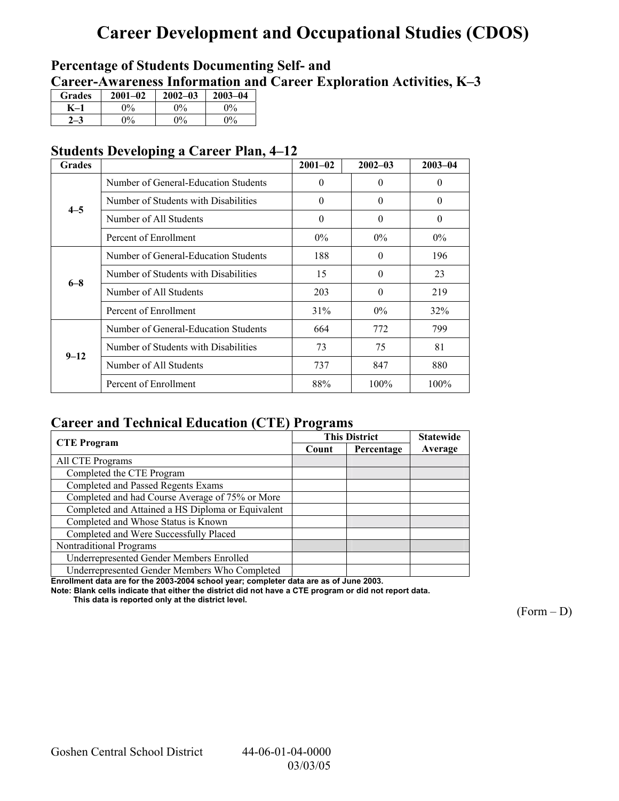# **Career Development and Occupational Studies (CDOS)**

## **Percentage of Students Documenting Self- and**  Career-Awareness Information and Career Exploration Activities, K-3

| <b>Grades</b> | $2001 - 02$ | $2002 - 03$ | $2003 - 04$ |
|---------------|-------------|-------------|-------------|
|               | 0%          | $0\%$       | $2\%$       |
|               | $0\%$       | $0\%$       | $0\%$       |

## **Students Developing a Career Plan, 4–12**

| <b>Grades</b> |                                      | $2001 - 02$ | $2002 - 03$ | $2003 - 04$ |
|---------------|--------------------------------------|-------------|-------------|-------------|
|               | Number of General-Education Students | $\theta$    | $\Omega$    | $\theta$    |
| $4 - 5$       | Number of Students with Disabilities | $\theta$    | $\Omega$    | $\theta$    |
|               | Number of All Students               | $\theta$    | $\theta$    | $\theta$    |
|               | Percent of Enrollment                | $0\%$       | $0\%$       | $0\%$       |
|               | Number of General-Education Students | 188         | $\theta$    | 196         |
| $6 - 8$       | Number of Students with Disabilities | 15          | $\Omega$    | 23          |
|               | Number of All Students               | 203         | $\Omega$    | 219         |
|               | Percent of Enrollment                | 31%         | $0\%$       | 32%         |
|               | Number of General-Education Students | 664         | 772         | 799         |
| $9 - 12$      | Number of Students with Disabilities | 73          | 75          | 81          |
|               | Number of All Students               | 737         | 847         | 880         |
|               | Percent of Enrollment                | 88%         | 100%        | 100%        |

## **Career and Technical Education (CTE) Programs**

|                                                   |       | <b>This District</b> | <b>Statewide</b> |
|---------------------------------------------------|-------|----------------------|------------------|
| <b>CTE</b> Program                                | Count | Percentage           | Average          |
| All CTE Programs                                  |       |                      |                  |
| Completed the CTE Program                         |       |                      |                  |
| Completed and Passed Regents Exams                |       |                      |                  |
| Completed and had Course Average of 75% or More   |       |                      |                  |
| Completed and Attained a HS Diploma or Equivalent |       |                      |                  |
| Completed and Whose Status is Known               |       |                      |                  |
| Completed and Were Successfully Placed            |       |                      |                  |
| Nontraditional Programs                           |       |                      |                  |
| Underrepresented Gender Members Enrolled          |       |                      |                  |
| Underrepresented Gender Members Who Completed     |       |                      |                  |

**Enrollment data are for the 2003-2004 school year; completer data are as of June 2003.** 

**Note: Blank cells indicate that either the district did not have a CTE program or did not report data.** 

 **This data is reported only at the district level.** 

 $(Form - D)$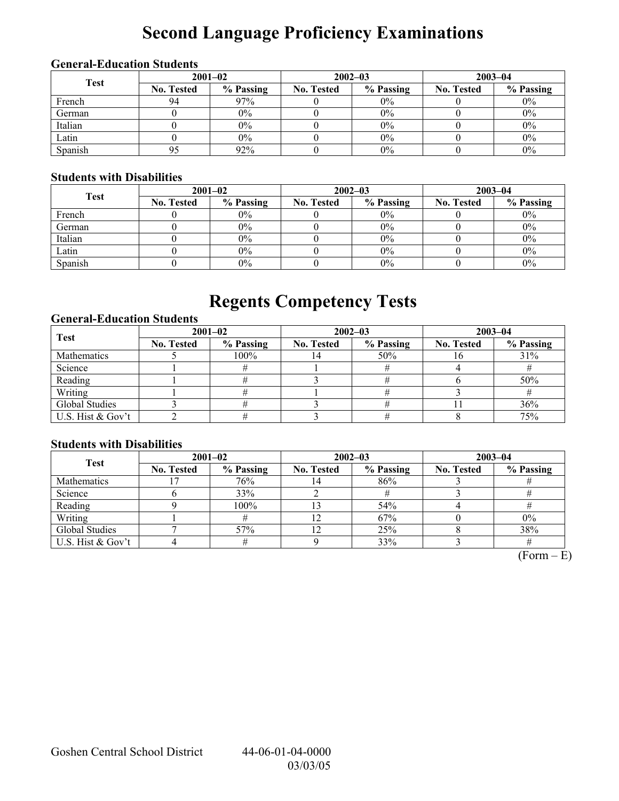# **Second Language Proficiency Examinations**

## **General-Education Students**

| <b>Test</b> | $2001 - 02$       |           |                   | $2002 - 03$ | $2003 - 04$       |           |  |
|-------------|-------------------|-----------|-------------------|-------------|-------------------|-----------|--|
|             | <b>No. Tested</b> | % Passing | <b>No. Tested</b> | % Passing   | <b>No. Tested</b> | % Passing |  |
| French      | 94                | 97%       |                   | $0\%$       |                   | $0\%$     |  |
| German      |                   | $0\%$     |                   | $0\%$       |                   | $0\%$     |  |
| Italian     |                   | $0\%$     |                   | 0%          |                   | $0\%$     |  |
| Latin       |                   | $0\%$     |                   | $0\%$       |                   | $0\%$     |  |
| Spanish     |                   | 92%       |                   | 0%          |                   | $0\%$     |  |

## **Students with Disabilities**

| <b>Test</b> | $2001 - 02$       |           |                   | $2002 - 03$ | $2003 - 04$       |           |  |
|-------------|-------------------|-----------|-------------------|-------------|-------------------|-----------|--|
|             | <b>No. Tested</b> | % Passing | <b>No. Tested</b> | % Passing   | <b>No. Tested</b> | % Passing |  |
| French      |                   | $0\%$     |                   | $0\%$       |                   | $0\%$     |  |
| German      |                   | $0\%$     |                   | $0\%$       |                   | $0\%$     |  |
| Italian     |                   | $0\%$     |                   | 0%          |                   | $0\%$     |  |
| Latin       |                   | $0\%$     |                   | 0%          |                   | $0\%$     |  |
| Spanish     |                   | $0\%$     |                   | 0%          |                   | $0\%$     |  |

# **Regents Competency Tests**

### **General-Education Students**

| <b>Test</b>       | $2001 - 02$       |           | $2002 - 03$       |           | $2003 - 04$       |           |  |
|-------------------|-------------------|-----------|-------------------|-----------|-------------------|-----------|--|
|                   | <b>No. Tested</b> | % Passing | <b>No. Tested</b> | % Passing | <b>No. Tested</b> | % Passing |  |
| Mathematics       |                   | 100%      |                   | 50%       |                   | 31%       |  |
| Science           |                   |           |                   |           |                   |           |  |
| Reading           |                   |           |                   |           |                   | 50%       |  |
| Writing           |                   |           |                   |           |                   |           |  |
| Global Studies    |                   |           |                   |           |                   | 36%       |  |
| U.S. Hist & Gov't |                   |           |                   |           |                   | 75%       |  |

### **Students with Disabilities**

| <b>Test</b>        | $2001 - 02$       |           |                   | $2002 - 03$ | $2003 - 04$       |           |  |
|--------------------|-------------------|-----------|-------------------|-------------|-------------------|-----------|--|
|                    | <b>No. Tested</b> | % Passing | <b>No. Tested</b> | % Passing   | <b>No. Tested</b> | % Passing |  |
| <b>Mathematics</b> |                   | 76%       |                   | 86%         |                   |           |  |
| Science            |                   | 33%       |                   |             |                   |           |  |
| Reading            |                   | 100%      |                   | 54%         |                   |           |  |
| Writing            |                   |           |                   | 67%         |                   | $0\%$     |  |
| Global Studies     |                   | 57%       |                   | 25%         |                   | 38%       |  |
| U.S. Hist & Gov't  |                   |           |                   | 33%         |                   |           |  |

 $(Form - E)$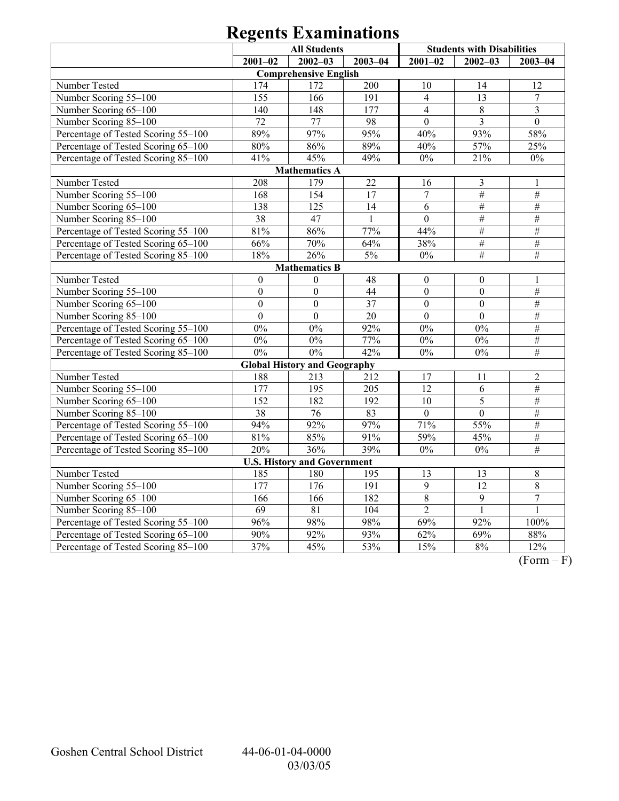|                                     | <b>All Students</b> |                                     |              |                  | <b>Students with Disabilities</b> |                         |
|-------------------------------------|---------------------|-------------------------------------|--------------|------------------|-----------------------------------|-------------------------|
|                                     | $2001 - 02$         | $2002 - 03$                         | $2003 - 04$  | $2001 - 02$      | $2002 - 03$                       | $2003 - 04$             |
|                                     |                     | <b>Comprehensive English</b>        |              |                  |                                   |                         |
| Number Tested                       | 174                 | 172                                 | 200          | 10               | 14                                | 12                      |
| Number Scoring 55-100               | 155                 | 166                                 | 191          | $\overline{4}$   | 13                                | $\boldsymbol{7}$        |
| Number Scoring 65-100               | 140                 | 148                                 | 177          | $\overline{4}$   | $\,8\,$                           | $\overline{\mathbf{3}}$ |
| Number Scoring 85-100               | 72                  | 77                                  | 98           | $\overline{0}$   | $\overline{3}$                    | $\overline{0}$          |
| Percentage of Tested Scoring 55-100 | 89%                 | 97%                                 | 95%          | 40%              | 93%                               | 58%                     |
| Percentage of Tested Scoring 65-100 | 80%                 | 86%                                 | 89%          | 40%              | 57%                               | 25%                     |
| Percentage of Tested Scoring 85-100 | 41%                 | 45%                                 | 49%          | $0\%$            | 21%                               | $0\%$                   |
|                                     |                     | <b>Mathematics A</b>                |              |                  |                                   |                         |
| Number Tested                       | 208                 | 179                                 | 22           | 16               | 3                                 | 1                       |
| Number Scoring 55-100               | 168                 | 154                                 | 17           | $\overline{7}$   | $\#$                              | $\#$                    |
| Number Scoring 65-100               | 138                 | 125                                 | 14           | 6                | $\#$                              | $\#$                    |
| Number Scoring 85-100               | 38                  | 47                                  | $\mathbf{1}$ | $\overline{0}$   | $\#$                              | $\#$                    |
| Percentage of Tested Scoring 55-100 | 81%                 | 86%                                 | 77%          | 44%              | $\#$                              | $\#$                    |
| Percentage of Tested Scoring 65-100 | 66%                 | 70%                                 | 64%          | 38%              | $\#$                              | $\#$                    |
| Percentage of Tested Scoring 85-100 | 18%                 | 26%                                 | $5\%$        | $0\%$            | $\overline{\#}$                   | $\#$                    |
|                                     |                     | <b>Mathematics B</b>                |              |                  |                                   |                         |
| Number Tested                       | $\mathbf{0}$        | $\mathbf{0}$                        | 48           | $\boldsymbol{0}$ | $\boldsymbol{0}$                  | 1                       |
| Number Scoring 55-100               | $\overline{0}$      | $\boldsymbol{0}$                    | 44           | $\overline{0}$   | $\mathbf{0}$                      | $\overline{\#}$         |
| Number Scoring 65-100               | $\overline{0}$      | $\boldsymbol{0}$                    | 37           | $\mathbf{0}$     | $\boldsymbol{0}$                  | $\#$                    |
| Number Scoring 85-100               | $\boldsymbol{0}$    | $\boldsymbol{0}$                    | $20\,$       | $\boldsymbol{0}$ | $\overline{0}$                    | $\#$                    |
| Percentage of Tested Scoring 55-100 | $0\%$               | $0\%$                               | 92%          | 0%               | 0%                                | $\#$                    |
| Percentage of Tested Scoring 65-100 | $0\%$               | $0\%$                               | 77%          | 0%               | $0\%$                             | $\#$                    |
| Percentage of Tested Scoring 85-100 | $0\%$               | $0\%$                               | 42%          | $0\%$            | $0\%$                             | $\#$                    |
|                                     |                     | <b>Global History and Geography</b> |              |                  |                                   |                         |
| Number Tested                       | 188                 | 213                                 | 212          | 17               | 11                                | $\sqrt{2}$              |
| Number Scoring 55-100               | 177                 | 195                                 | 205          | $\overline{12}$  | 6                                 | $\#$                    |
| Number Scoring 65-100               | 152                 | 182                                 | 192          | 10               | 5                                 | $\#$                    |
| Number Scoring 85-100               | 38                  | 76                                  | 83           | $\mathbf{0}$     | $\overline{0}$                    | $\overline{\#}$         |
| Percentage of Tested Scoring 55-100 | 94%                 | 92%                                 | 97%          | 71%              | 55%                               | $\overline{\#}$         |
| Percentage of Tested Scoring 65-100 | 81%                 | 85%                                 | 91%          | 59%              | 45%                               | $\#$                    |
| Percentage of Tested Scoring 85-100 | 20%                 | 36%                                 | 39%          | $\overline{0\%}$ | 0%                                | $\overline{\#}$         |
|                                     |                     | <b>U.S. History and Government</b>  |              |                  |                                   |                         |
| Number Tested                       | 185                 | 180                                 | 195          | 13               | 13                                | $\,$ $\,$               |
| Number Scoring 55-100               | 177                 | $\overline{176}$                    | 191          | $\overline{9}$   | 12                                | $\overline{8}$          |
| Number Scoring 65-100               | 166                 | 166                                 | 182          | $\overline{8}$   | $\overline{9}$                    | $\overline{7}$          |
| Number Scoring 85-100               | $\overline{69}$     | 81                                  | 104          | $\overline{2}$   | $\mathbf{1}$                      | $\mathbf{1}$            |
| Percentage of Tested Scoring 55-100 | 96%                 | 98%                                 | 98%          | 69%              | 92%                               | $100\%$                 |
| Percentage of Tested Scoring 65-100 | 90%                 | 92%                                 | 93%          | 62%              | 69%                               | 88%                     |
| Percentage of Tested Scoring 85-100 | 37%                 | 45%                                 | 53%          | 15%              | 8%                                | 12%                     |

 $\overline{(Form - F)}$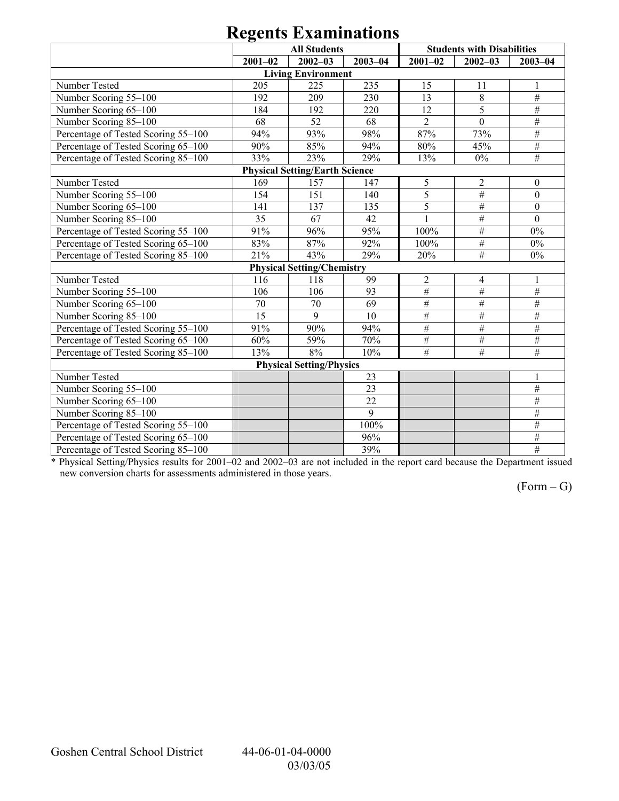|                                     | <b>All Students</b> |                                       |             |                 | <b>Students with Disabilities</b> |                  |
|-------------------------------------|---------------------|---------------------------------------|-------------|-----------------|-----------------------------------|------------------|
|                                     | $2001 - 02$         | $2002 - 03$                           | $2003 - 04$ | $2001 - 02$     | $2002 - 03$                       | $2003 - 04$      |
|                                     |                     | <b>Living Environment</b>             |             |                 |                                   |                  |
| Number Tested                       | 205                 | 225                                   | 235         | 15              | 11                                | 1                |
| Number Scoring 55-100               | 192                 | 209                                   | 230         | 13              | $8\,$                             | $\#$             |
| Number Scoring 65-100               | 184                 | 192                                   | 220         | $\overline{12}$ | 5                                 | $\#$             |
| Number Scoring 85-100               | 68                  | 52                                    | 68          | $\overline{2}$  | $\mathbf{0}$                      | $\overline{\#}$  |
| Percentage of Tested Scoring 55-100 | 94%                 | 93%                                   | 98%         | 87%             | 73%                               | $\#$             |
| Percentage of Tested Scoring 65-100 | 90%                 | 85%                                   | 94%         | 80%             | 45%                               | $\#$             |
| Percentage of Tested Scoring 85-100 | 33%                 | 23%                                   | 29%         | 13%             | $0\%$                             | $\overline{\#}$  |
|                                     |                     | <b>Physical Setting/Earth Science</b> |             |                 |                                   |                  |
| Number Tested                       | 169                 | 157                                   | 147         | 5               | $\mathfrak{2}$                    | $\theta$         |
| Number Scoring 55-100               | 154                 | 151                                   | 140         | 5               | $\overline{\#}$                   | $\mathbf{0}$     |
| Number Scoring 65-100               | 141                 | 137                                   | 135         | $\overline{5}$  | $\#$                              | $\mathbf{0}$     |
| Number Scoring 85-100               | 35                  | 67                                    | 42          | $\mathbf{1}$    | $\#$                              | $\boldsymbol{0}$ |
| Percentage of Tested Scoring 55-100 | 91%                 | 96%                                   | 95%         | 100%            | $\#$                              | $0\%$            |
| Percentage of Tested Scoring 65-100 | 83%                 | 87%                                   | 92%         | 100%            | $\#$                              | $0\%$            |
| Percentage of Tested Scoring 85-100 | 21%                 | 43%                                   | 29%         | 20%             | #                                 | $0\%$            |
|                                     |                     | <b>Physical Setting/Chemistry</b>     |             |                 |                                   |                  |
| Number Tested                       | 116                 | 118                                   | 99          | $\overline{c}$  | 4                                 |                  |
| Number Scoring 55-100               | 106                 | 106                                   | 93          | $\#$            | $\overline{\#}$                   | $\overline{\#}$  |
| Number Scoring 65-100               | 70                  | 70                                    | 69          | #               | $\#$                              | $\#$             |
| Number Scoring 85-100               | 15                  | 9                                     | 10          | $\#$            | $\#$                              | #                |
| Percentage of Tested Scoring 55-100 | 91%                 | 90%                                   | 94%         | $\overline{\#}$ | $\#$                              | $\overline{\#}$  |
| Percentage of Tested Scoring 65-100 | 60%                 | 59%                                   | 70%         | $\#$            | $\overline{\#}$                   | $\#$             |
| Percentage of Tested Scoring 85-100 | 13%                 | 8%                                    | 10%         | #               | #                                 | #                |
|                                     |                     | <b>Physical Setting/Physics</b>       |             |                 |                                   |                  |
| Number Tested                       |                     |                                       | 23          |                 |                                   | $\mathbf{1}$     |
| Number Scoring 55-100               |                     |                                       | 23          |                 |                                   | $\overline{\#}$  |
| Number Scoring 65-100               |                     |                                       | 22          |                 |                                   | $\#$             |
| Number Scoring 85-100               |                     |                                       | 9           |                 |                                   | $\overline{\#}$  |
| Percentage of Tested Scoring 55-100 |                     |                                       | 100%        |                 |                                   | $\#$             |
| Percentage of Tested Scoring 65-100 |                     |                                       | 96%         |                 |                                   | $\#$             |
| Percentage of Tested Scoring 85-100 |                     |                                       | 39%         |                 |                                   | $\overline{\#}$  |

\* Physical Setting/Physics results for 2001–02 and 2002–03 are not included in the report card because the Department issued new conversion charts for assessments administered in those years.

 $(Form - G)$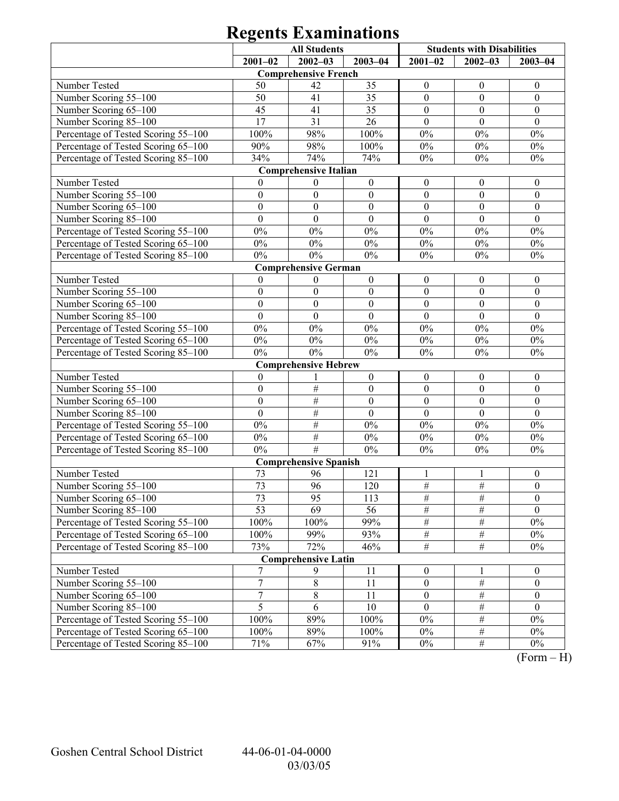|                                     | <b>All Students</b> |                              | <b>Students with Disabilities</b> |                  |                  |                  |
|-------------------------------------|---------------------|------------------------------|-----------------------------------|------------------|------------------|------------------|
|                                     | $2001 - 02$         | $2002 - 03$                  | $2003 - 04$                       | $2001 - 02$      | $2002 - 03$      | $2003 - 04$      |
|                                     |                     | <b>Comprehensive French</b>  |                                   |                  |                  |                  |
| Number Tested                       | 50                  | 42                           | 35                                | $\boldsymbol{0}$ | $\boldsymbol{0}$ | $\boldsymbol{0}$ |
| Number Scoring 55-100               | 50                  | 41                           | 35                                | $\boldsymbol{0}$ | $\mathbf{0}$     | $\boldsymbol{0}$ |
| Number Scoring 65-100               | 45                  | 41                           | 35                                | $\boldsymbol{0}$ | $\boldsymbol{0}$ | $\boldsymbol{0}$ |
| Number Scoring 85-100               | 17                  | 31                           | 26                                | $\theta$         | $\theta$         | $\theta$         |
| Percentage of Tested Scoring 55-100 | 100%                | 98%                          | 100%                              | $0\%$            | $0\%$            | $0\%$            |
| Percentage of Tested Scoring 65-100 | 90%                 | 98%                          | 100%                              | $0\%$            | $0\%$            | $0\%$            |
| Percentage of Tested Scoring 85-100 | 34%                 | 74%                          | 74%                               | $0\%$            | $0\%$            | $0\%$            |
|                                     |                     | <b>Comprehensive Italian</b> |                                   |                  |                  |                  |
| Number Tested                       | $\overline{0}$      | $\boldsymbol{0}$             | $\boldsymbol{0}$                  | $\boldsymbol{0}$ | $\boldsymbol{0}$ | $\boldsymbol{0}$ |
| Number Scoring 55-100               | $\boldsymbol{0}$    | $\boldsymbol{0}$             | $\boldsymbol{0}$                  | $\boldsymbol{0}$ | $\mathbf{0}$     | $\boldsymbol{0}$ |
| Number Scoring 65-100               | $\boldsymbol{0}$    | $\boldsymbol{0}$             | $\boldsymbol{0}$                  | $\boldsymbol{0}$ | $\boldsymbol{0}$ | $\boldsymbol{0}$ |
| Number Scoring 85-100               | $\overline{0}$      | $\overline{0}$               | $\mathbf{0}$                      | $\mathbf{0}$     | $\mathbf{0}$     | $\mathbf{0}$     |
| Percentage of Tested Scoring 55-100 | $0\%$               | $0\%$                        | $0\%$                             | $0\%$            | $0\%$            | $0\%$            |
| Percentage of Tested Scoring 65-100 | $0\%$               | $0\%$                        | $0\%$                             | $0\%$            | $0\%$            | $0\%$            |
| Percentage of Tested Scoring 85-100 | $0\%$               | $0\%$                        | $0\%$                             | $0\%$            | $0\%$            | $0\%$            |
|                                     |                     | <b>Comprehensive German</b>  |                                   |                  |                  |                  |
| Number Tested                       | $\mathbf{0}$        | $\boldsymbol{0}$             | $\boldsymbol{0}$                  | $\boldsymbol{0}$ | $\boldsymbol{0}$ | $\boldsymbol{0}$ |
| Number Scoring 55-100               | $\boldsymbol{0}$    | $\boldsymbol{0}$             | $\boldsymbol{0}$                  | $\boldsymbol{0}$ | $\mathbf{0}$     | $\boldsymbol{0}$ |
| Number Scoring 65-100               | $\boldsymbol{0}$    | $\boldsymbol{0}$             | $\boldsymbol{0}$                  | $\boldsymbol{0}$ | $\boldsymbol{0}$ | $\boldsymbol{0}$ |
| Number Scoring 85-100               | $\mathbf{0}$        | $\overline{0}$               | $\mathbf{0}$                      | $\mathbf{0}$     | $\mathbf{0}$     | $\mathbf{0}$     |
| Percentage of Tested Scoring 55-100 | $0\%$               | $0\%$                        | $0\%$                             | $0\%$            | $0\%$            | $0\%$            |
| Percentage of Tested Scoring 65-100 | $0\%$               | $0\%$                        | $0\%$                             | $0\%$            | $0\%$            | $0\%$            |
| Percentage of Tested Scoring 85-100 | $0\%$               | $0\%$                        | $0\%$                             | $0\%$            | $0\%$            | $0\%$            |
|                                     |                     | <b>Comprehensive Hebrew</b>  |                                   |                  |                  |                  |
| Number Tested                       | $\boldsymbol{0}$    |                              | $\boldsymbol{0}$                  | $\boldsymbol{0}$ | $\boldsymbol{0}$ | $\boldsymbol{0}$ |
| Number Scoring 55-100               | $\boldsymbol{0}$    | $\#$                         | $\boldsymbol{0}$                  | $\boldsymbol{0}$ | $\mathbf{0}$     | $\boldsymbol{0}$ |
| Number Scoring 65-100               | $\boldsymbol{0}$    | $\#$                         | $\boldsymbol{0}$                  | $\boldsymbol{0}$ | $\boldsymbol{0}$ | $\boldsymbol{0}$ |
| Number Scoring 85-100               | $\boldsymbol{0}$    | $\#$                         | $\boldsymbol{0}$                  | $\boldsymbol{0}$ | $\mathbf{0}$     | $\boldsymbol{0}$ |
| Percentage of Tested Scoring 55-100 | $0\%$               | $\#$                         | $0\%$                             | $0\%$            | $0\%$            | $0\%$            |
| Percentage of Tested Scoring 65-100 | $0\%$               | $\#$                         | $0\%$                             | $0\%$            | $0\%$            | $0\%$            |
| Percentage of Tested Scoring 85-100 | $0\%$               | #                            | $0\%$                             | $0\%$            | $0\%$            | $0\%$            |
|                                     |                     | <b>Comprehensive Spanish</b> |                                   |                  |                  |                  |
| Number Tested                       | 73                  | 96                           | 121                               | 1                | -1               | $\boldsymbol{0}$ |
| Number Scoring 55-100               | 73                  | 96                           | 120                               | $\frac{1}{2}$    | $\frac{1}{2}$    | $\boldsymbol{0}$ |
| Number Scoring 65-100               | 73                  | 95                           | 113                               | #                | #                | $\boldsymbol{0}$ |
| Number Scoring 85-100               | 53                  | 69                           | 56                                | $\#$             | $\#$             | $\mathbf{0}$     |
| Percentage of Tested Scoring 55-100 | 100%                | 100%                         | 99%                               | $\#$             | $\#$             | $0\%$            |
| Percentage of Tested Scoring 65-100 | 100%                | 99%                          | 93%                               | $\overline{\#}$  | $\frac{1}{2}$    | $0\%$            |
| Percentage of Tested Scoring 85-100 | 73%                 | 72%                          | 46%                               | $\overline{\#}$  | $\overline{\#}$  | $0\%$            |
|                                     |                     | <b>Comprehensive Latin</b>   |                                   |                  |                  |                  |
| Number Tested                       | 7                   | 9                            | 11                                | $\boldsymbol{0}$ | 1                | $\boldsymbol{0}$ |
| Number Scoring 55-100               | 7                   | 8                            | 11                                | $\boldsymbol{0}$ | $\#$             | $\boldsymbol{0}$ |
| Number Scoring 65-100               | 7                   | 8                            | 11                                | $\boldsymbol{0}$ | $\overline{\#}$  | $\boldsymbol{0}$ |
| Number Scoring 85-100               | 5                   | 6                            | 10                                | $\mathbf{0}$     | $\overline{\#}$  | $\theta$         |
| Percentage of Tested Scoring 55-100 | 100%                | 89%                          | 100%                              | $0\%$            | $\frac{1}{2}$    | $0\%$            |
| Percentage of Tested Scoring 65-100 | 100%                | 89%                          | 100%                              | $0\%$            | $\#$             | $0\%$            |
| Percentage of Tested Scoring 85-100 | 71%                 | 67%                          | 91%                               | $0\%$            | $\#$             | $0\%$            |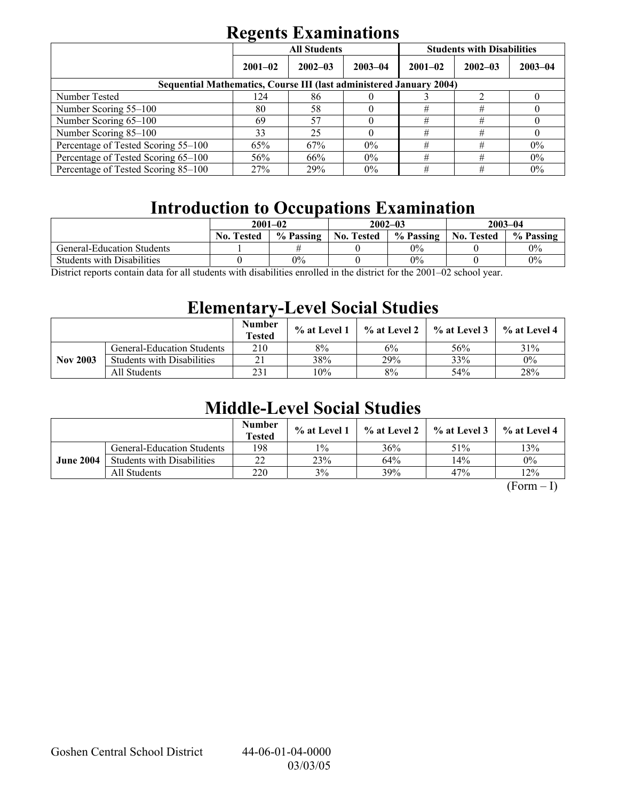|                                                                            | <b>All Students</b> |             |             | <b>Students with Disabilities</b> |             |             |  |
|----------------------------------------------------------------------------|---------------------|-------------|-------------|-----------------------------------|-------------|-------------|--|
|                                                                            | $2001 - 02$         | $2002 - 03$ | $2003 - 04$ | $2001 - 02$                       | $2002 - 03$ | $2003 - 04$ |  |
| <b>Sequential Mathematics, Course III (last administered January 2004)</b> |                     |             |             |                                   |             |             |  |
| Number Tested                                                              | 124                 | 86          |             |                                   |             |             |  |
| Number Scoring 55–100                                                      | 80                  | 58          |             | #                                 | #           |             |  |
| Number Scoring 65-100                                                      | 69                  | 57          |             | #                                 | #           |             |  |
| Number Scoring 85-100                                                      | 33                  | 25          |             | #                                 | #           |             |  |
| Percentage of Tested Scoring 55-100                                        | 65%                 | 67%         | $0\%$       | #                                 | #           | $0\%$       |  |
| Percentage of Tested Scoring 65-100                                        | 56%                 | 66%         | $0\%$       | #                                 | #           | 0%          |  |
| Percentage of Tested Scoring 85–100                                        | 27%                 | 29%         | $0\%$       | #                                 | #           | $0\%$       |  |

# **Introduction to Occupations Examination**

|                                       | $2001 - 02$       |           |                   | $2002 - 03$ | $2003 - 04$       |           |  |
|---------------------------------------|-------------------|-----------|-------------------|-------------|-------------------|-----------|--|
|                                       | <b>No. Tested</b> | % Passing | <b>No. Tested</b> | % Passing   | <b>No. Tested</b> | % Passing |  |
| General-Education Students            |                   |           |                   | $0\%$       |                   | 0%        |  |
| <b>Students with Disabilities</b>     |                   | $0\%$     |                   | $0\%$       |                   | $0\%$     |  |
| $\sim$ $\sim$ $\sim$<br>$\mathbf{11}$ |                   | $\cdots$  |                   | 0.00100     |                   |           |  |

District reports contain data for all students with disabilities enrolled in the district for the 2001–02 school year.

# **Elementary-Level Social Studies**

|                 |                                   | <b>Number</b><br>Tested | % at Level 1 | % at Level 2 | $\%$ at Level 3 | % at Level 4 |
|-----------------|-----------------------------------|-------------------------|--------------|--------------|-----------------|--------------|
|                 | <b>General-Education Students</b> | 210                     | 8%           | 6%           | 56%             | 31%          |
| <b>Nov 2003</b> | <b>Students with Disabilities</b> |                         | 38%          | 29%          | 33%             | $0\%$        |
|                 | All Students                      | 231                     | 10%          | 8%           | 54%             | 28%          |

# **Middle-Level Social Studies**

|                  |                                   | <b>Number</b><br><b>Tested</b> | $\%$ at Level 1 | % at Level 2 | $\frac{1}{2}$ % at Level 3 | % at Level 4 |
|------------------|-----------------------------------|--------------------------------|-----------------|--------------|----------------------------|--------------|
|                  | <b>General-Education Students</b> | 198                            | $1\%$           | 36%          | 51%                        | 13%          |
| <b>June 2004</b> | <b>Students with Disabilities</b> | 22                             | 23%             | 64%          | 14%                        | $0\%$        |
|                  | All Students                      | 220                            | 3%              | 39%          | 47%                        | 12%          |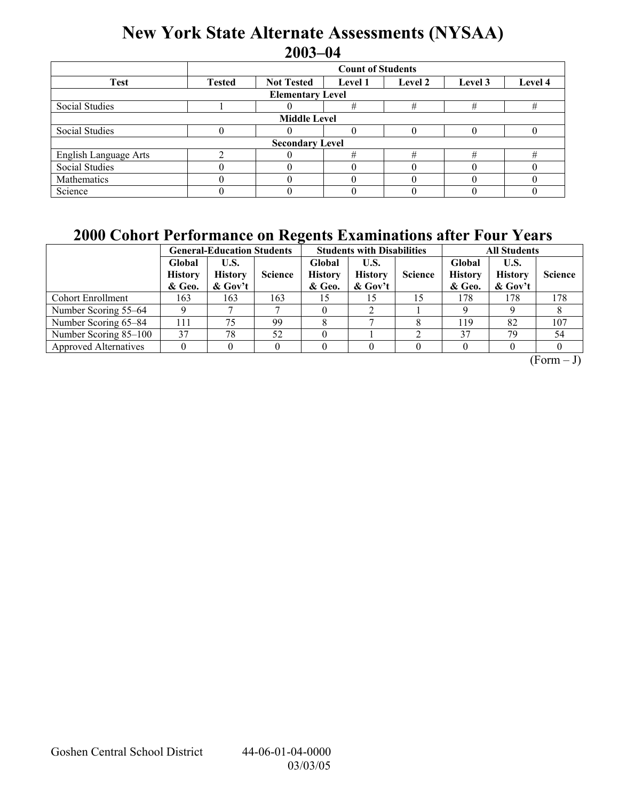# **New York State Alternate Assessments (NYSAA) 2003-04**

|                         | <b>Count of Students</b>                                                              |                        |   |   |   |          |  |  |  |
|-------------------------|---------------------------------------------------------------------------------------|------------------------|---|---|---|----------|--|--|--|
| <b>Test</b>             | <b>Not Tested</b><br>Level 4<br><b>Tested</b><br>Level 2<br>Level 3<br><b>Level 1</b> |                        |   |   |   |          |  |  |  |
| <b>Elementary Level</b> |                                                                                       |                        |   |   |   |          |  |  |  |
| Social Studies          |                                                                                       |                        | # | # | # | #        |  |  |  |
| <b>Middle Level</b>     |                                                                                       |                        |   |   |   |          |  |  |  |
| Social Studies          |                                                                                       |                        |   |   |   |          |  |  |  |
|                         |                                                                                       | <b>Secondary Level</b> |   |   |   |          |  |  |  |
| English Language Arts   |                                                                                       |                        | # |   | # | #        |  |  |  |
| <b>Social Studies</b>   |                                                                                       |                        |   |   |   | $\theta$ |  |  |  |
| Mathematics             |                                                                                       |                        |   |   |   |          |  |  |  |
| Science                 |                                                                                       |                        |   |   |   |          |  |  |  |

## **2000 Cohort Performance on Regents Examinations after Four Years**

|                              |                                    | <b>General-Education Students</b>    |                |                                    | <b>Students with Disabilities</b>    |                | <b>All Students</b>                |                                      |                |  |
|------------------------------|------------------------------------|--------------------------------------|----------------|------------------------------------|--------------------------------------|----------------|------------------------------------|--------------------------------------|----------------|--|
|                              | Global<br><b>History</b><br>& Geo. | U.S.<br><b>History</b><br>$\&$ Gov't | <b>Science</b> | Global<br><b>History</b><br>& Geo. | U.S.<br><b>History</b><br>$\&$ Gov't | <b>Science</b> | Global<br><b>History</b><br>& Geo. | U.S.<br><b>History</b><br>$\&$ Gov't | <b>Science</b> |  |
| <b>Cohort Enrollment</b>     | 163                                | 163                                  | 163            |                                    |                                      | 15             | 178                                | 178                                  | 178            |  |
| Number Scoring 55–64         |                                    |                                      |                |                                    |                                      |                |                                    |                                      |                |  |
| Number Scoring 65–84         | 111                                | 75                                   | 99             |                                    |                                      |                | 119                                | 82                                   | 107            |  |
| Number Scoring 85–100        | 37                                 | 78                                   | 52             |                                    |                                      |                | 37                                 | 79                                   | 54             |  |
| <b>Approved Alternatives</b> |                                    |                                      |                |                                    |                                      |                |                                    |                                      |                |  |

 $(Form - J)$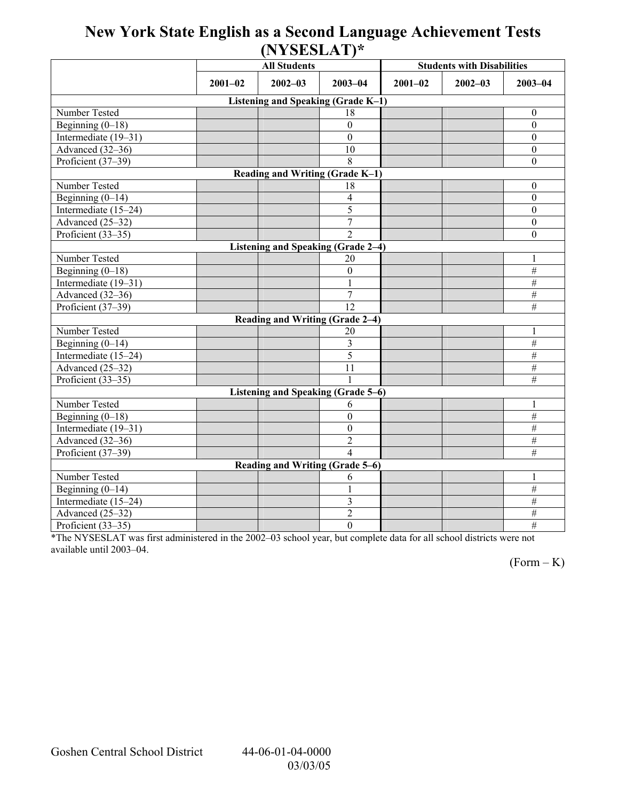## **New York State English as a Second Language Achievement Tests (NYSESLAT)\***

|                                    |             | <b>All Students</b>                |                  | <b>Students with Disabilities</b> |             |                  |  |  |  |  |
|------------------------------------|-------------|------------------------------------|------------------|-----------------------------------|-------------|------------------|--|--|--|--|
|                                    | $2001 - 02$ | $2002 - 03$                        | $2003 - 04$      | $2001 - 02$                       | $2002 - 03$ | $2003 - 04$      |  |  |  |  |
| Listening and Speaking (Grade K-1) |             |                                    |                  |                                   |             |                  |  |  |  |  |
| Number Tested                      |             |                                    | 18               |                                   |             | $\mathbf{0}$     |  |  |  |  |
| Beginning $(0-18)$                 |             |                                    | $\mathbf{0}$     |                                   |             | $\boldsymbol{0}$ |  |  |  |  |
| Intermediate (19-31)               |             |                                    | $\mathbf{0}$     |                                   |             | $\boldsymbol{0}$ |  |  |  |  |
| Advanced (32-36)                   |             |                                    | 10               |                                   |             | $\boldsymbol{0}$ |  |  |  |  |
| Proficient (37-39)                 |             |                                    | 8                |                                   |             | $\boldsymbol{0}$ |  |  |  |  |
|                                    |             | Reading and Writing (Grade K-1)    |                  |                                   |             |                  |  |  |  |  |
| Number Tested                      |             |                                    | 18               |                                   |             | $\boldsymbol{0}$ |  |  |  |  |
| Beginning $(0-14)$                 |             |                                    | 4                |                                   |             | $\boldsymbol{0}$ |  |  |  |  |
| Intermediate (15-24)               |             |                                    | 5                |                                   |             | $\boldsymbol{0}$ |  |  |  |  |
| Advanced (25-32)                   |             |                                    | $\overline{7}$   |                                   |             | $\boldsymbol{0}$ |  |  |  |  |
| Proficient (33-35)                 |             |                                    | $\overline{2}$   |                                   |             | $\boldsymbol{0}$ |  |  |  |  |
|                                    |             | Listening and Speaking (Grade 2-4) |                  |                                   |             |                  |  |  |  |  |
| Number Tested                      |             |                                    | 20               |                                   |             | 1                |  |  |  |  |
| Beginning $(0-18)$                 |             |                                    | $\mathbf{0}$     |                                   |             | $\#$             |  |  |  |  |
| Intermediate $(19-31)$             |             |                                    | 1                |                                   |             | $\#$             |  |  |  |  |
| Advanced (32-36)                   |             |                                    | $\tau$           |                                   |             | $\#$             |  |  |  |  |
| Proficient (37-39)                 |             |                                    | 12               |                                   |             | $\overline{\#}$  |  |  |  |  |
|                                    |             | Reading and Writing (Grade 2-4)    |                  |                                   |             |                  |  |  |  |  |
| Number Tested                      |             |                                    | 20               |                                   |             | 1                |  |  |  |  |
| Beginning $(0-14)$                 |             |                                    | 3                |                                   |             | $\overline{\#}$  |  |  |  |  |
| Intermediate (15-24)               |             |                                    | 5                |                                   |             | $\overline{\#}$  |  |  |  |  |
| Advanced (25-32)                   |             |                                    | 11               |                                   |             | $\#$             |  |  |  |  |
| Proficient $(33-35)$               |             |                                    |                  |                                   |             | $\overline{\#}$  |  |  |  |  |
|                                    |             | Listening and Speaking (Grade 5-6) |                  |                                   |             |                  |  |  |  |  |
| Number Tested                      |             |                                    | 6                |                                   |             | $\mathbf{1}$     |  |  |  |  |
| Beginning $(0-18)$                 |             |                                    | $\theta$         |                                   |             | $\overline{\#}$  |  |  |  |  |
| Intermediate (19–31)               |             |                                    | $\mathbf{0}$     |                                   |             | $\overline{\#}$  |  |  |  |  |
| Advanced (32-36)                   |             |                                    | $\overline{2}$   |                                   |             | $\frac{1}{2}$    |  |  |  |  |
| Proficient (37-39)                 |             |                                    | 4                |                                   |             | $\overline{\#}$  |  |  |  |  |
|                                    |             | Reading and Writing (Grade 5-6)    |                  |                                   |             |                  |  |  |  |  |
| Number Tested                      |             |                                    | 6                |                                   |             | 1                |  |  |  |  |
| Beginning $(0-14)$                 |             |                                    |                  |                                   |             | $\#$             |  |  |  |  |
| Intermediate (15-24)               |             |                                    | 3                |                                   |             | $\#$             |  |  |  |  |
| Advanced (25-32)                   |             |                                    | $\overline{2}$   |                                   |             | #                |  |  |  |  |
| Proficient (33-35)                 |             |                                    | $\boldsymbol{0}$ |                                   |             | $\overline{\#}$  |  |  |  |  |

\*The NYSESLAT was first administered in the 2002-03 school year, but complete data for all school districts were not available until 2003-04.

 $(Form - K)$